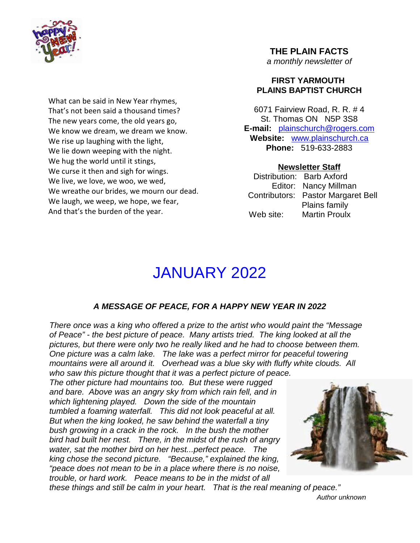

What can be said in New Year rhymes, That's not been said a thousand times? The new years come, the old years go, We know we dream, we dream we know. We rise up laughing with the light, We lie down weeping with the night. We hug the world until it stings, We curse it then and sigh for wings. We live, we love, we woo, we wed, We wreathe our brides, we mourn our dead. We laugh, we weep, we hope, we fear, And that's the burden of the year.

## **THE PLAIN FACTS** *a monthly newsletter of*

### **FIRST YARMOUTH PLAINS BAPTIST CHURCH**

6071 Fairview Road, R. R. # 4 St. Thomas ON N5P 3S8 **E-mail:** plainschurch@rogers.com **Website:** www.plainschurch.ca **Phone:** 519-633-2883

## **Newsletter Staff**

Distribution: Barb Axford Editor: Nancy Millman Contributors: Pastor Margaret Bell Plains family Web site: Martin Proulx

# JANUARY 2022

# *A MESSAGE OF PEACE, FOR A HAPPY NEW YEAR IN 2022*

*There once was a king who offered a prize to the artist who would paint the "Message of Peace" - the best picture of peace. Many artists tried. The king looked at all the pictures, but there were only two he really liked and he had to choose between them. One picture was a calm lake. The lake was a perfect mirror for peaceful towering mountains were all around it. Overhead was a blue sky with fluffy white clouds. All who saw this picture thought that it was a perfect picture of peace.*

*The other picture had mountains too. But these were rugged and bare. Above was an angry sky from which rain fell, and in which lightening played. Down the side of the mountain tumbled a foaming waterfall. This did not look peaceful at all. But when the king looked, he saw behind the waterfall a tiny bush growing in a crack in the rock. In the bush the mother bird had built her nest. There, in the midst of the rush of angry water, sat the mother bird on her hest...perfect peace. The king chose the second picture. "Because," explained the king, "peace does not mean to be in a place where there is no noise, trouble, or hard work. Peace means to be in the midst of all*



*these things and still be calm in your heart. That is the real meaning of peace."*

*Author unknown*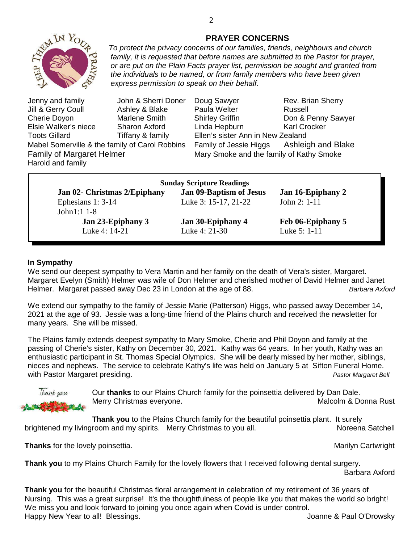

*To protect the privacy concerns of our families, friends, neighbours and church family, it is requested that before names are submitted to the Pastor for prayer, or are put on the Plain Facts prayer list, permission be sought and granted from the individuals to be named, or from family members who have been given express permission to speak on their behalf.*

Jill & Gerry Coull Ashley & Blake Paula Welter Russell Elsie Walker's niece Sharon Axford Linda Hepburn Karl Crocker Toots Gillard **Tiffany & family** Ellen's sister Ann in New Zealand Harold and family

Jenny and family John & Sherri Doner Doug Sawyer Rev. Brian Sherry Cherie Doyon Marlene Smith Shirley Griffin Don & Penny Sawyer Mabel Somerville & the family of Carol Robbins Family of Jessie Higgs Ashleigh and Blake Family of Margaret Helmer Mary Smoke and the family of Kathy Smoke

|                              | <b>Sunday Scripture Readings</b> |                   |
|------------------------------|----------------------------------|-------------------|
| Jan 02- Christmas 2/Epiphany | Jan 09-Baptism of Jesus          | Jan 16-Epiphany 2 |
| Ephesians 1: 3-14            | Luke 3: 15-17, 21-22             | John $2: 1-11$    |
| John $1:1$ 1-8               |                                  |                   |
| Jan 23-Epiphany 3            | Jan 30-Epiphany 4                | Feb 06-Epiphany 5 |
| Luke 4: 14-21                | Luke 4: 21-30                    | Luke 5: 1-11      |
|                              |                                  |                   |

#### **In Sympathy**

We send our deepest sympathy to Vera Martin and her family on the death of Vera's sister, Margaret. Margaret Evelyn (Smith) Helmer was wife of Don Helmer and cherished mother of David Helmer and Janet Helmer. Margaret passed away Dec 23 in London at the age of 88. **Barbara Axford** Barbara Axford

We extend our sympathy to the family of Jessie Marie (Patterson) Higgs, who passed away December 14, 2021 at the age of 93*.* Jessie was a long-time friend of the Plains church and received the newsletter for many years. She will be missed.

The Plains family extends deepest sympathy to Mary Smoke, Cherie and Phil Doyon and family at the passing of Cherie's sister, Kathy on December 30, 2021. Kathy was 64 years. In her youth, Kathy was an enthusiastic participant in St. Thomas Special Olympics. She will be dearly missed by her mother, siblings, nieces and nephews. The service to celebrate Kathy's life was held on January 5 at Sifton Funeral Home. with Pastor Margaret presiding. *Pastor Margaret Bell* 



Our **thanks** to our Plains Church family for the poinsettia delivered by Dan Dale. Merry Christmas everyone. The matrix of the Malcolm & Donna Rust

**Thank you** to the Plains Church family for the beautiful poinsettia plant. It surely brightened my livingroom and my spirits. Merry Christmas to you all. Noreena Satchell

**Thanks** for the lovely poinsettia. Marilyn Cartwright and the lovely poinsettia.

**Thank you** to my Plains Church Family for the lovely flowers that I received following dental surgery.

Barbara Axford

**Thank you** for the beautiful Christmas floral arrangement in celebration of my retirement of 36 years of Nursing. This was a great surprise! It's the thoughtfulness of people like you that makes the world so bright! We miss you and look forward to joining you once again when Covid is under control. Happy New Year to all! Blessings. The state of the state of the state of the state of the state of the state of the state of the state of the state of the state of the state of the state of the state of the state of the st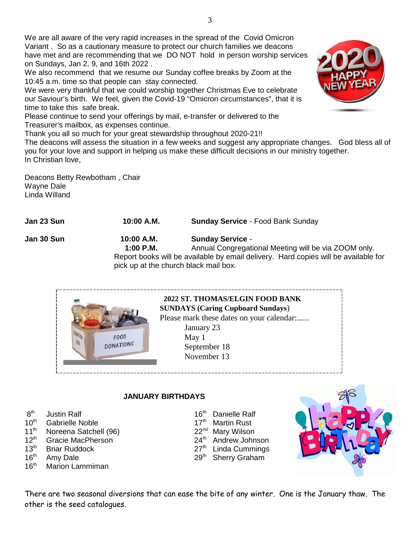We are all aware of the very rapid increases in the spread of the Covid Omicron Variant . So as a cautionary measure to protect our church families we deacons have met and are recommending that we DO NOT hold in person worship services on Sundays, Jan 2, 9, and 16th 2022 .

We also recommend that we resume our Sunday coffee breaks by Zoom at the 10:45 a.m. time so that people can stay connected.

We were very thankful that we could worship together Christmas Eve to celebrate our Saviour's birth. We feel, given the Covid-19 "Omicron circumstances", that it is time to take this safe break.

Please continue to send your offerings by mail, e-transfer or delivered to the Treasurer's mailbox, as expenses continue.

Thank you all so much for your great stewardship throughout 2020-21!!

The deacons will assess the situation in a few weeks and suggest any appropriate changes. God bless all of you for your love and support in helping us make these difficult decisions in our ministry together. In Christian love,

Deacons Betty Rewbotham , Chair Wayne Dale Linda Willand

FOOD **DONATIONS** 

**Jan 23 Sun 10:00 A.M. Sunday Service** - Food Bank Sunday

**Jan 30 Sun 10:00 A.M. Sunday Service** -

**1:00 P.M.** Annual Congregational Meeting will be via ZOOM only. Report books will be available by email delivery. Hard copies will be available for pick up at the church black mail box.

# **2022 ST. THOMAS/ELGIN FOOD BANK**

**SUNDAYS (Caring Cupboard Sundays**)

Please mark these dates on your calendar:......

January 23 May 1 September 18 November 13

# **JANUARY BIRTHDAYS**

- $8<sup>th</sup>$ <br>10<sup>th</sup>
- Gabrielle Noble 17th Martin Rust
- 11<sup>th</sup> Noreena Satchell (96) 22<sup>nd</sup> Mary Wilson
- $12^{\text{th}}$  Gracie MacPherson  $13^{\text{th}}$  Andrew Johnson  $13^{\text{th}}$  Briar Ruddock  $27^{\text{th}}$  Linda Cummings
- 13th Briar Ruddock 27<sup>th</sup> Linda Cummings
- 
- 16<sup>th</sup> Marion Lammiman

الساب المسابق Justin Ralf بالمسابق 16<sup>th</sup> Danielle Ralf<br>Gabrielle Noble 17th Martin Rust

- 
- 
- 
- 
- $16<sup>th</sup>$  Amy Dale 29<sup>th</sup> Sherry Graham



There are two seasonal diversions that can ease the bite of any winter. One is the January thaw. The other is the seed catalogues.



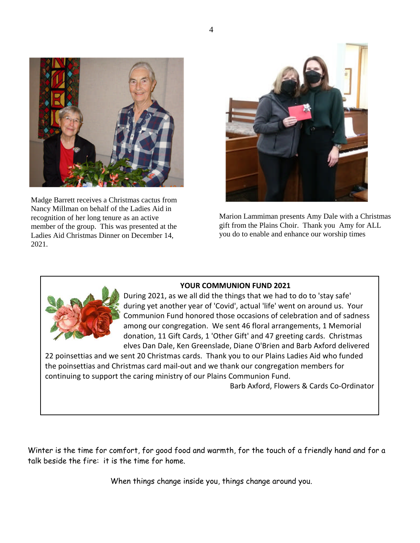

Madge Barrett receives a Christmas cactus from Nancy Millman on behalf of the Ladies Aid in recognition of her long tenure as an active member of the group. This was presented at the Ladies Aid Christmas Dinner on December 14, 2021.



Marion Lammiman presents Amy Dale with a Christmas gift from the Plains Choir. Thank you Amy for ALL you do to enable and enhance our worship times

#### **YOUR COMMUNION FUND 2021**



During 2021, as we all did the things that we had to do to 'stay safe' during yet another year of 'Covid', actual 'life' went on around us. Your Communion Fund honored those occasions of celebration and of sadness among our congregation. We sent 46 floral arrangements, 1 Memorial donation, 11 Gift Cards, 1 'Other Gift' and 47 greeting cards. Christmas elves Dan Dale, Ken Greenslade, Diane O'Brien and Barb Axford delivered

22 poinsettias and we sent 20 Christmas cards. Thank you to our Plains Ladies Aid who funded the poinsettias and Christmas card mail-out and we thank our congregation members for continuing to support the caring ministry of our Plains Communion Fund.

Barb Axford, Flowers & Cards Co-Ordinator

Winter is the time for comfort, for good food and warmth, for the touch of a friendly hand and for a talk beside the fire: it is the time for home.

When things change inside you, things change around you.